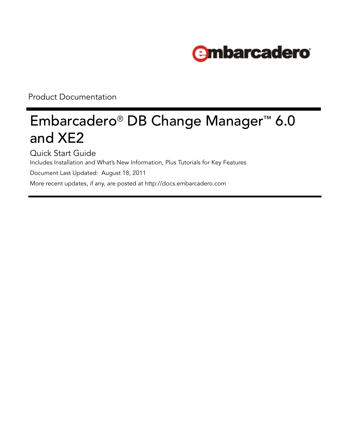

Product Documentation

# Embarcadero® DB Change Manager™ 6.0 and XE2

Quick Start Guide

Includes Installation and What's New Information, Plus Tutorials for Key Features

Document Last Updated: August 18, 2011

[More recent updates, if any, are posted at http://docs.embarcadero.com](http://docs.embarcadero.com/)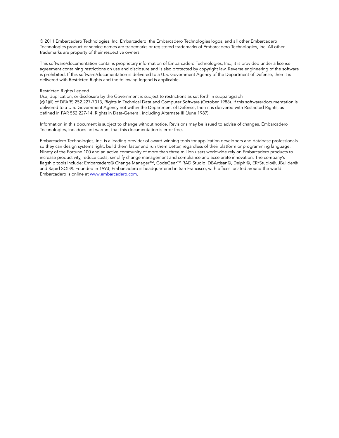© 2011 Embarcadero Technologies, Inc. Embarcadero, the Embarcadero Technologies logos, and all other Embarcadero Technologies product or service names are trademarks or registered trademarks of Embarcadero Technologies, Inc. All other trademarks are property of their respective owners.

This software/documentation contains proprietary information of Embarcadero Technologies, Inc.; it is provided under a license agreement containing restrictions on use and disclosure and is also protected by copyright law. Reverse engineering of the software is prohibited. If this software/documentation is delivered to a U.S. Government Agency of the Department of Defense, then it is delivered with Restricted Rights and the following legend is applicable.

#### Restricted Rights Legend

Use, duplication, or disclosure by the Government is subject to restrictions as set forth in subparagraph (c)(1)(ii) of DFARS 252.227-7013, Rights in Technical Data and Computer Software (October 1988). If this software/documentation is delivered to a U.S. Government Agency not within the Department of Defense, then it is delivered with Restricted Rights, as defined in FAR 552.227-14, Rights in Data-General, including Alternate III (June 1987).

Information in this document is subject to change without notice. Revisions may be issued to advise of changes. Embarcadero Technologies, Inc. does not warrant that this documentation is error-free.

Embarcadero Technologies, Inc. is a leading provider of award-winning tools for application developers and database professionals so they can design systems right, build them faster and run them better, regardless of their platform or programming language. Ninety of the Fortune 100 and an active community of more than three million users worldwide rely on Embarcadero products to increase productivity, reduce costs, simplify change management and compliance and accelerate innovation. The company's [flagship tools include: Embarcadero® Change Manager™, CodeGear™ RAD Studio, DBArtisan®, Delphi®, ER/Studio®, JBuilder®](http://www.embarcadero.com)  and Rapid SQL®. Founded in 1993, Embarcadero is headquartered in San Francisco, with offices located around the world. [Embarcadero is online at w](http://www.embarcadero.com)ww.embarcadero.com.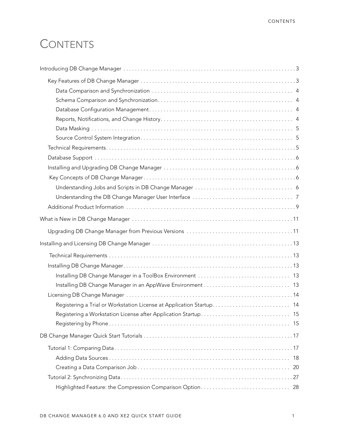# **CONTENTS**

| 18 |
|----|
| 20 |
|    |
|    |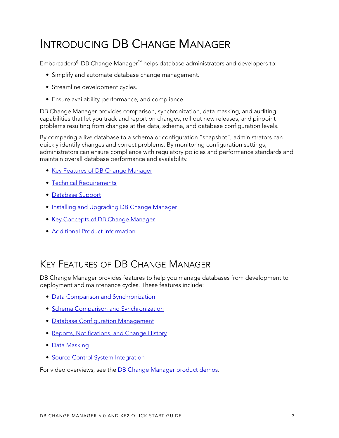# <span id="page-4-0"></span>INTRODUCING DB CHANGE MANAGER

Embarcadero® DB Change Manager™ helps database administrators and developers to:

- Simplify and automate database change management.
- Streamline development cycles.
- Ensure availability, performance, and compliance.

DB Change Manager provides comparison, synchronization, data masking, and auditing capabilities that let you track and report on changes, roll out new releases, and pinpoint problems resulting from changes at the data, schema, and database configuration levels.

By comparing a live database to a schema or configuration "snapshot", administrators can quickly identify changes and correct problems. By monitoring configuration settings, administrators can ensure compliance with regulatory policies and performance standards and maintain overall database performance and availability.

- [Key Features of DB Change Manager](#page-4-1)
- [Technical Requirements](#page-6-2)
- [Database Support](#page-7-0)
- [Installing and Upgrading DB Change Manager](#page-7-1)
- [Key Concepts of DB Change Manager](#page-7-2)
- [Additional Product Information](#page-10-0)

## <span id="page-4-1"></span>KEY FEATURES OF DB CHANGE MANAGER

DB Change Manager provides features to help you manage databases from development to deployment and maintenance cycles. These features include:

- [Data Comparison and Synchronization](#page-5-0)
- [Schema Comparison and Synchronization](#page-5-1)
- [Database Configuration Management](#page-5-2)
- [Reports, Notifications, and Change History](#page-5-3)
- [Data Masking](#page-6-0)
- [Source Control System Integration](#page-6-1)

For video overviews, see th[e DB Change Manager product demos.](http://www.embarcadero.com/products/change-manager/product-demos)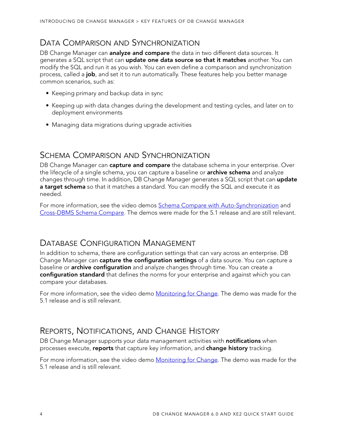### <span id="page-5-0"></span>DATA COMPARISON AND SYNCHRONIZATION

DB Change Manager can **analyze and compare** the data in two different data sources. It generates a SQL script that can **update one data source so that it matches** another. You can modify the SQL and run it as you wish. You can even define a comparison and synchronization process, called a **job**, and set it to run automatically. These features help you better manage common scenarios, such as:

- Keeping primary and backup data in sync
- Keeping up with data changes during the development and testing cycles, and later on to deployment environments
- Managing data migrations during upgrade activities

### <span id="page-5-1"></span>SCHEMA COMPARISON AND SYNCHRONIZATION

DB Change Manager can **capture and compare** the database schema in your enterprise. Over the lifecycle of a single schema, you can capture a baseline or **archive schema** and analyze changes through time. In addition, DB Change Manager generates a SQL script that can **update a target schema** so that it matches a standard. You can modify the SQL and execute it as needed.

For more information, see the video demos [Schema Compare with Auto-Synchronization](http://www.embarcadero.com/product_demo.php?file=http://altd.embarcadero.com/download/video/change_manager/schema-autosync.mp4) and [Cross-DBMS Schema Compare](http://www.embarcadero.com/product_demo.php?file=http://altd.embarcadero.com/download/video/change_manager/schema-comparison.mp4). The demos were made for the 5.1 release and are still relevant.

### <span id="page-5-2"></span>DATABASE CONFIGURATION MANAGEMENT

In addition to schema, there are configuration settings that can vary across an enterprise. DB Change Manager can **capture the configuration settings** of a data source. You can capture a baseline or **archive configuration** and analyze changes through time. You can create a **configuration standard** that defines the norms for your enterprise and against which you can compare your databases.

For more information, see the video demo [Monitoring for Change](http://www.embarcadero.com/product_demo.php?file=http://altd.embarcadero.com/download/video/change_manager/database-monitoring.mp4). The demo was made for the 5.1 release and is still relevant.

### <span id="page-5-3"></span>REPORTS, NOTIFICATIONS, AND CHANGE HISTORY

DB Change Manager supports your data management activities with **notifications** when processes execute, **reports** that capture key information, and **change history** tracking.

For more information, see the video demo [Monitoring for Change](http://www.embarcadero.com/product_demo.php?file=http://altd.embarcadero.com/download/video/change_manager/database-monitoring.mp4). The demo was made for the 5.1 release and is still relevant.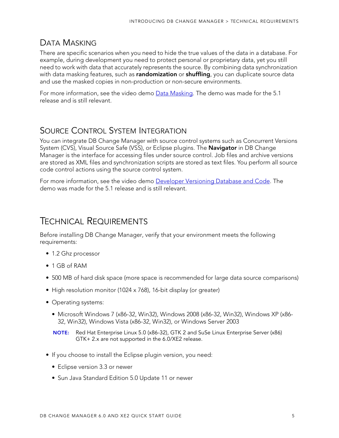### <span id="page-6-0"></span>DATA MASKING

There are specific scenarios when you need to hide the true values of the data in a database. For example, during development you need to protect personal or proprietary data, yet you still need to work with data that accurately represents the source. By combining data synchronization with data masking features, such as **randomization** or **shuffling**, you can duplicate source data and use the masked copies in non-production or non-secure environments.

For more information, see the video demo [Data Masking](http://www.embarcadero.com/products/change-manager/product-demos). The demo was made for the 5.1 release and is still relevant.

## <span id="page-6-1"></span>SOURCE CONTROL SYSTEM INTEGRATION

You can integrate DB Change Manager with source control systems such as Concurrent Versions System (CVS), Visual Source Safe (VSS), or Eclipse plugins. The **Navigator** in DB Change Manager is the interface for accessing files under source control. Job files and archive versions are stored as XML files and synchronization scripts are stored as text files. You perform all source code control actions using the source control system.

For more information, see the video demo [Developer Versioning Database and Code.](http://www.embarcadero.com/products/change-manager/product-demos) The demo was made for the 5.1 release and is still relevant.

## <span id="page-6-3"></span><span id="page-6-2"></span>TECHNICAL REQUIREMENTS

Before installing DB Change Manager, verify that your environment meets the following requirements:

- 1.2 Ghz processor
- 1 GB of RAM
- 500 MB of hard disk space (more space is recommended for large data source comparisons)
- High resolution monitor (1024 x 768), 16-bit display (or greater)
- Operating systems:
	- Microsoft Windows 7 (x86-32, Win32), Windows 2008 (x86-32, Win32), Windows XP (x86- 32, Win32), Windows Vista (x86-32, Win32), or Windows Server 2003

**NOTE:** Red Hat Enterprise Linux 5.0 (x86-32), GTK 2 and SuSe Linux Enterprise Server (x86) GTK+ 2.x are not supported in the 6.0/XE2 release.

- If you choose to install the Eclipse plugin version, you need:
	- Eclipse version 3.3 or newer
	- Sun Java Standard Edition 5.0 Update 11 or newer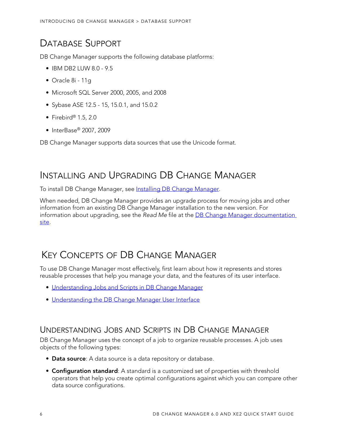## <span id="page-7-0"></span>DATABASE SUPPORT

DB Change Manager supports the following database platforms:

- IBM DB2 LUW  $8.0 9.5$
- Oracle 8i 11g
- Microsoft SQL Server 2000, 2005, and 2008
- Sybase ASE 12.5 15, 15.0.1, and 15.0.2
- Firebird® 1.5, 2.0
- InterBase® 2007, 2009

DB Change Manager supports data sources that use the Unicode format.

## <span id="page-7-1"></span>INSTALLING AND UPGRADING DB CHANGE MANAGER

To install DB Change Manager, see [Installing DB Change Manager](#page-14-4).

When needed, DB Change Manager provides an upgrade process for moving jobs and other information from an existing DB Change Manager installation to the new version. For information about upgrading, see the Read Me file at the **DB Change Manager documentation** [site](http://docs.embarcadero.com/products/change_manager/).

## <span id="page-7-2"></span>KEY CONCEPTS OF DB CHANGE MANAGER

To use DB Change Manager most effectively, first learn about how it represents and stores reusable processes that help you manage your data, and the features of its user interface.

- [Understanding Jobs and Scripts in DB Change Manager](#page-7-3)
- [Understanding the DB Change Manager User Interface](#page-8-0)

### <span id="page-7-3"></span>UNDERSTANDING JOBS AND SCRIPTS IN DB CHANGE MANAGER

DB Change Manager uses the concept of a job to organize reusable processes. A job uses objects of the following types:

- **Data source**: A data source is a data repository or database.
- **Configuration standard**: A standard is a customized set of properties with threshold operators that help you create optimal configurations against which you can compare other data source configurations.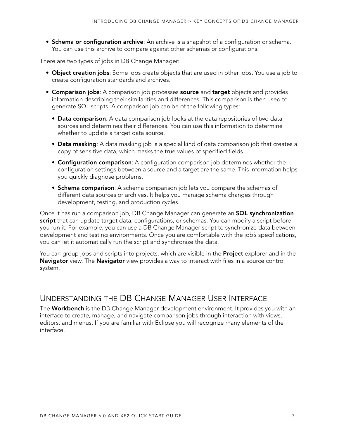• **Schema or configuration archive**: An archive is a snapshot of a configuration or schema. You can use this archive to compare against other schemas or configurations.

There are two types of jobs in DB Change Manager:

- **Object creation jobs**: Some jobs create objects that are used in other jobs. You use a job to create configuration standards and archives.
- **Comparison jobs**: A comparison job processes **source** and **target** objects and provides information describing their similarities and differences. This comparison is then used to generate SQL scripts. A comparison job can be of the following types:
	- **Data comparison**: A data comparison job looks at the data repositories of two data sources and determines their differences. You can use this information to determine whether to update a target data source.
	- **Data masking**: A data masking job is a special kind of data comparison job that creates a copy of sensitive data, which masks the true values of specified fields.
	- **Configuration comparison**: A configuration comparison job determines whether the configuration settings between a source and a target are the same. This information helps you quickly diagnose problems.
	- **Schema comparison**: A schema comparison job lets you compare the schemas of different data sources or archives. It helps you manage schema changes through development, testing, and production cycles.

Once it has run a comparison job, DB Change Manager can generate an **SQL synchronization script** that can update target data, configurations, or schemas. You can modify a script before you run it. For example, you can use a DB Change Manager script to synchronize data between development and testing environments. Once you are comfortable with the job's specifications, you can let it automatically run the script and synchronize the data.

You can group jobs and scripts into projects, which are visible in the **Project** explorer and in the **Navigator** view. The **Navigator** view provides a way to interact with files in a source control system.

### <span id="page-8-0"></span>UNDERSTANDING THE DB CHANGE MANAGER USER INTERFACE

The **Workbench** is the DB Change Manager development environment. It provides you with an interface to create, manage, and navigate comparison jobs through interaction with views, editors, and menus. If you are familiar with Eclipse you will recognize many elements of the interface.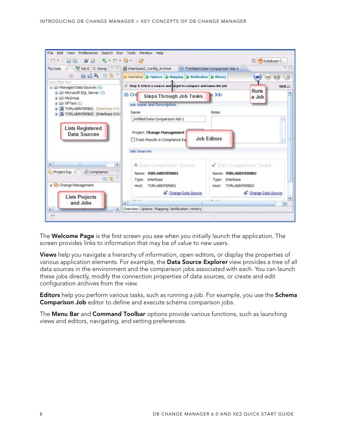

The **Welcome Page** is the first screen you see when you initially launch the application. The screen provides links to information that may be of value to new users.

**Views** help you navigate a hierarchy of information, open editors, or display the properties of various application elements. For example, the **Data Source Explorer** view provides a tree of all data sources in the environment and the comparison jobs associated with each. You can launch these jobs directly, modify the connection properties of data sources, or create and edit configuration archives from the view.

**Editors** help you perform various tasks, such as running a job. For example, you use the **Schema Comparison Job** editor to define and execute schema comparison jobs.

The **Menu Bar** and **Command Toolbar** options provide various functions, such as launching views and editors, navigating, and setting preferences.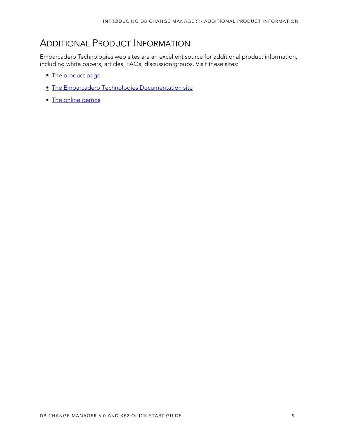## <span id="page-10-0"></span>ADDITIONAL PRODUCT INFORMATION

Embarcadero Technologies web sites are an excellent source for additional product information, including white papers, articles, FAQs, discussion groups. Visit these sites:

- [The product page](http://www.embarcadero.com/products/db-change-manager-xe)
- [The Embarcadero Technologies Documentation site](http://docs.embarcadero.com)
- [The online demos](http://www.embarcadero.com/products/change-manager/product-demos)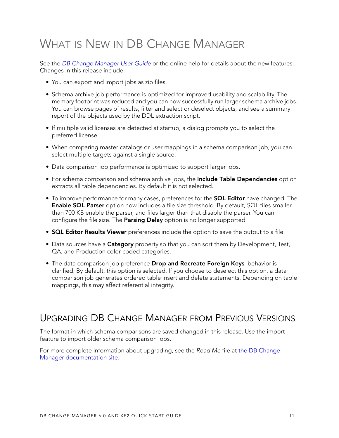# <span id="page-12-0"></span>WHAT IS NEW IN DB CHANGE MANAGER

See the *[DB Change Manager User Guide](http://docs.embarcadero.com/products/change_manager/)* or the online help for details about the new features. Changes in this release include:

- You can export and import jobs as zip files.
- Schema archive job performance is optimized for improved usability and scalability. The memory footprint was reduced and you can now successfully run larger schema archive jobs. You can browse pages of results, filter and select or deselect objects, and see a summary report of the objects used by the DDL extraction script.
- If multiple valid licenses are detected at startup, a dialog prompts you to select the preferred license.
- When comparing master catalogs or user mappings in a schema comparison job, you can select multiple targets against a single source.
- Data comparison job performance is optimized to support larger jobs.
- For schema comparison and schema archive jobs, the **Include Table Dependencies** option extracts all table dependencies. By default it is not selected.
- To improve performance for many cases, preferences for the **SQL Editor** have changed. The **Enable SQL Parser** option now includes a file size threshold. By default, SQL files smaller than 700 KB enable the parser, and files larger than that disable the parser. You can configure the file size. The **Parsing Delay** option is no longer supported.
- **SQL Editor Results Viewer** preferences include the option to save the output to a file.
- Data sources have a **Category** property so that you can sort them by Development, Test, QA, and Production color-coded categories.
- The data comparison job preference **Drop and Recreate Foreign Keys** behavior is clarified. By default, this option is selected. If you choose to deselect this option, a data comparison job generates ordered table insert and delete statements. Depending on table mappings, this may affect referential integrity.

## <span id="page-12-1"></span>UPGRADING DB CHANGE MANAGER FROM PREVIOUS VERSIONS

The format in which schema comparisons are saved changed in this release. Use the import feature to import older schema comparison jobs.

For more complete information about upgrading, see the Read Me file at the DB Change [Manager documentation site](http://docs.embarcadero.com/products/change_manager/).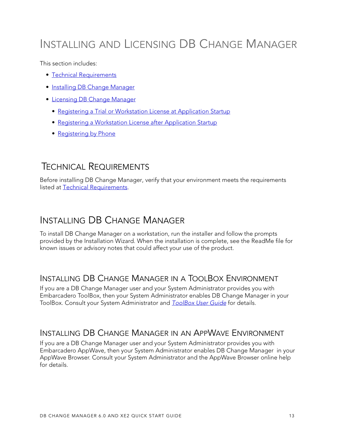# INSTALLING AND LICENSING DB CHANGE MANAGER

This section includes:

- [Technical Requirements](#page-14-0)
- [Installing DB Change Manager](#page-14-1)
- [Licensing DB Change Manager](#page-15-0)
	- [Registering a Trial or Workstation License at Application Startup](#page-15-1)
	- [Registering a Workstation License after Application Startup](#page-16-0)
	- [Registering by Phone](#page-16-1)

## <span id="page-14-0"></span>TECHNICAL REQUIREMENTS

Before installing DB Change Manager, verify that your environment meets the requirements listed at [Technical Requirements](#page-6-3).

## <span id="page-14-4"></span><span id="page-14-1"></span>INSTALLING DB CHANGE MANAGER

To install DB Change Manager on a workstation, run the installer and follow the prompts provided by the Installation Wizard. When the installation is complete, see the ReadMe file for known issues or advisory notes that could affect your use of the product.

### <span id="page-14-2"></span>INSTALLING DB CHANGE MANAGER IN A TOOLBOX ENVIRONMENT

If you are a DB Change Manager user and your System Administrator provides you with Embarcadero ToolBox, then your System Administrator enables DB Change Manager in your [T](http://docs.embarcadero.com/products/all_access/)oolBox. Consult your System Administrator and **ToolBox User Guide** for details.

### <span id="page-14-3"></span>INSTALLING DB CHANGE MANAGER IN AN APPWAVE ENVIRONMENT

If you are a DB Change Manager user and your System Administrator provides you with Embarcadero AppWave, then your System Administrator enables DB Change Manager in your AppWave Browser. Consult your System Administrator and the AppWave Browser online help for details.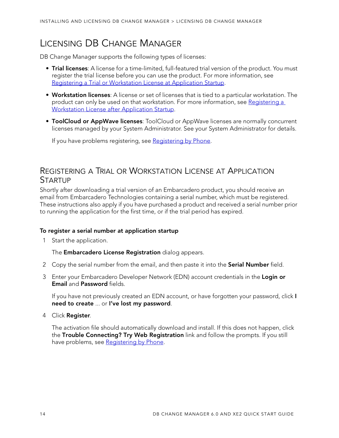## <span id="page-15-0"></span>LICENSING DB CHANGE MANAGER

DB Change Manager supports the following types of licenses:

- **Trial licenses**: A license for a time-limited, full-featured trial version of the product. You must register the trial license before you can use the product. For more information, see [Registering a Trial or Workstation License at Application Startup](#page-15-1).
- **Workstation licenses**: A license or set of licenses that is tied to a particular workstation. The product can only be used on that workstation. For more information, see Registering a [Workstation License after Application Startup](#page-16-0).
- **ToolCloud or AppWave licenses**: ToolCloud or AppWave licenses are normally concurrent licenses managed by your System Administrator. See your System Administrator for details.

If you have problems registering, see [Registering by Phone](#page-16-1).

### <span id="page-15-1"></span>REGISTERING A TRIAL OR WORKSTATION LICENSE AT APPLICATION **STARTUP**

Shortly after downloading a trial version of an Embarcadero product, you should receive an email from Embarcadero Technologies containing a serial number, which must be registered. These instructions also apply if you have purchased a product and received a serial number prior to running the application for the first time, or if the trial period has expired.

#### **To register a serial number at application startup**

1 Start the application.

The **Embarcadero License Registration** dialog appears.

- 2 Copy the serial number from the email, and then paste it into the **Serial Number** field.
- 3 Enter your Embarcadero Developer Network (EDN) account credentials in the **Login or Email** and **Password** fields.

If you have not previously created an EDN account, or have forgotten your password, click **I need to create** ... or **I've lost my password**.

4 Click **Register**.

The activation file should automatically download and install. If this does not happen, click the **Trouble Connecting? Try Web Registration** link and follow the prompts. If you still have problems, see [Registering by Phone](#page-16-1).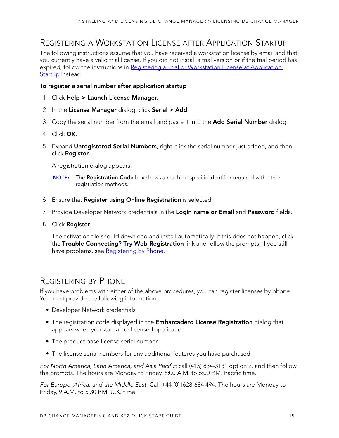### <span id="page-16-0"></span>REGISTERING A WORKSTATION LICENSE AFTER APPLICATION STARTUP

The following instructions assume that you have received a workstation license by email and that you currently have a valid trial license. If you did not install a trial version or if the trial period has expired, follow the instructions in Registering a Trial or Workstation License at Application [Startup](#page-15-1) instead.

#### **To register a serial number after application startup**

- 1 Click **Help > Launch License Manager**.
- 2 In the **License Manager** dialog, click **Serial > Add**.
- 3 Copy the serial number from the email and paste it into the **Add Serial Number** dialog.
- 4 Click **OK**.
- 5 Expand **Unregistered Serial Numbers**, right-click the serial number just added, and then click **Register**.

A registration dialog appears.

- **NOTE:** The **Registration Code** box shows a machine-specific identifier required with other registration methods.
- 6 Ensure that **Register using Online Registration** is selected.
- 7 Provide Developer Network credentials in the **Login name or Email** and **Password** fields.
- 8 Click **Register**.

The activation file should download and install automatically. If this does not happen, click the **Trouble Connecting? Try Web Registration** link and follow the prompts. If you still have problems, see [Registering by Phone](#page-16-1).

### <span id="page-16-1"></span>REGISTERING BY PHONE

If you have problems with either of the above procedures, you can register licenses by phone. You must provide the following information:

- Developer Network credentials
- The registration code displayed in the **Embarcadero License Registration** dialog that appears when you start an unlicensed application
- The product base license serial number
- The license serial numbers for any additional features you have purchased

For North America, Latin America, and Asia Pacific: call (415) 834-3131 option 2, and then follow the prompts. The hours are Monday to Friday, 6:00 A.M. to 6:00 P.M. Pacific time.

For Europe, Africa, and the Middle East: Call +44 (0)1628-684 494. The hours are Monday to Friday, 9 A.M. to 5:30 P.M. U.K. time.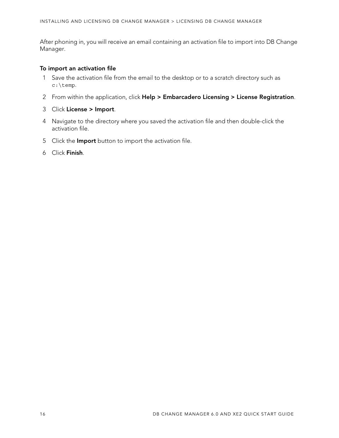After phoning in, you will receive an email containing an activation file to import into DB Change Manager.

#### **To import an activation file**

- 1 Save the activation file from the email to the desktop or to a scratch directory such as c:\temp.
- 2 From within the application, click **Help > Embarcadero Licensing > License Registration**.
- 3 Click **License > Import**.
- 4 Navigate to the directory where you saved the activation file and then double-click the activation file.
- 5 Click the **Import** button to import the activation file.
- 6 Click **Finish**.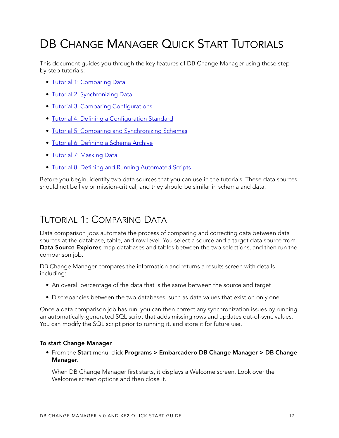# <span id="page-18-0"></span>DB CHANGE MANAGER QUICK START TUTORIALS

This document guides you through the key features of DB Change Manager using these stepby-step tutorials:

- [Tutorial 1: Comparing Data](#page-18-1)
- [Tutorial 2: Synchronizing Data](#page-28-0)
- [Tutorial 3: Comparing Configurations](#page-29-1)
- [Tutorial 4: Defining a Configuration Standard](#page-31-1)
- [Tutorial 5: Comparing and Synchronizing Schemas](#page-33-0)
- [Tutorial 6: Defining a Schema Archive](#page-34-0)
- [Tutorial 7: Masking Data](#page-34-1)
- [Tutorial 8: Defining and Running Automated Scripts](#page-37-0)

Before you begin, identify two data sources that you can use in the tutorials. These data sources should not be live or mission-critical, and they should be similar in schema and data.

## <span id="page-18-1"></span>TUTORIAL 1: COMPARING DATA

Data comparison jobs automate the process of comparing and correcting data between data sources at the database, table, and row level. You select a source and a target data source from **Data Source Explorer**, map databases and tables between the two selections, and then run the comparison job.

DB Change Manager compares the information and returns a results screen with details including:

- An overall percentage of the data that is the same between the source and target
- Discrepancies between the two databases, such as data values that exist on only one

Once a data comparison job has run, you can then correct any synchronization issues by running an automatically-generated SQL script that adds missing rows and updates out-of-sync values. You can modify the SQL script prior to running it, and store it for future use.

#### **To start Change Manager**

• From the **Start** menu, click **Programs > Embarcadero DB Change Manager > DB Change Manager**.

When DB Change Manager first starts, it displays a Welcome screen. Look over the Welcome screen options and then close it.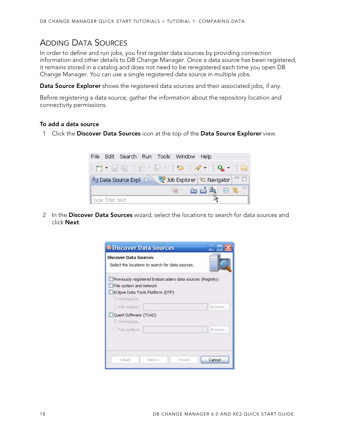### <span id="page-19-0"></span>ADDING DATA SOURCES

In order to define and run jobs, you first register data sources by providing connection information and other details to DB Change Manager. Once a data source has been registered, it remains stored in a catalog and does not need to be reregistered each time you open DB Change Manager. You can use a single registered data source in multiple jobs.

**Data Source Explorer** shows the registered data sources and their associated jobs, if any.

Before registering a data source, gather the information about the repository location and connectivity permissions.

#### **To add a data source**

1 Click the **Discover Data Sources** icon at the top of the **Data Source Explorer** view.



2 In the **Discover Data Sources** wizard, select the locations to search for data sources and click **Next**.

| <sup>•</sup> Discover Data Sources                                                            |                                                           |        |
|-----------------------------------------------------------------------------------------------|-----------------------------------------------------------|--------|
| <b>Discover Data Sources</b><br>Select the locations to search for data sources.              |                                                           |        |
| File system and network<br>Eclipse Data Tools Platform (DTP)<br>· Workspace<br>C File system: | Previously registered Embarcadero data sources (Registry) | Browse |
| Quest Software (TOAD)<br>· Workspace<br>File system:                                          |                                                           | Browse |
| $<$ Back<br>Next >                                                                            | Finish                                                    | Cancel |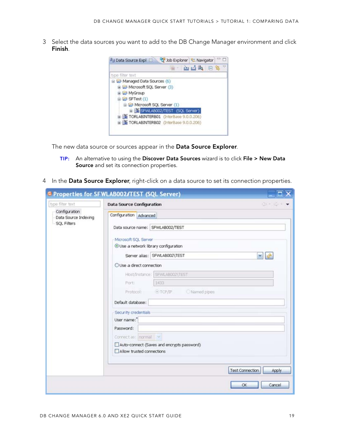3 Select the data sources you want to add to the DB Change Manager environment and click **Finish**.



The new data source or sources appear in the **Data Source Explorer**.

- **TIP:** An alternative to using the **Discover Data Sources** wizard is to click **File > New Data Source** and set its connection properties.
- 4 In the **Data Source Explorer**, right-click on a data source to set its connection properties.

| type filter text                      | <b>Data Source Configuration</b>           | $\circ$ - $\circ$               |
|---------------------------------------|--------------------------------------------|---------------------------------|
| Configuration<br>Data Source Indexing | Configuration Advanced                     |                                 |
| SQL Filters                           | Data source name: SFWLAB002/TEST           |                                 |
|                                       | Microsoft SQL Server                       |                                 |
|                                       | Use a network library configuration        |                                 |
|                                       | Server alias: SFWLAB002\TEST               | $\frac{1}{2}$                   |
|                                       | O Use a direct connection                  |                                 |
|                                       | Host/Instance: SFWLAB002\TEST              |                                 |
|                                       | 1433<br>Porti                              |                                 |
|                                       | Named pipes<br>O TCP/IP<br>Protocol:       |                                 |
|                                       | Default database:                          |                                 |
|                                       | Security credentials                       |                                 |
|                                       | User name:                                 |                                 |
|                                       | Password:                                  |                                 |
|                                       | Connectas: normal                          |                                 |
|                                       | Auto-connect (Saves and encrypts password) |                                 |
|                                       | Allow trusted connections                  |                                 |
|                                       |                                            |                                 |
|                                       |                                            | <b>Test Connection</b><br>Apply |
|                                       |                                            | Cancel<br>OK                    |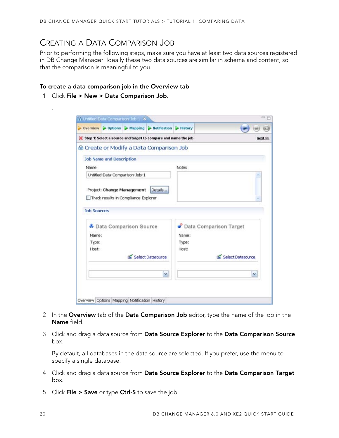### <span id="page-21-0"></span>CREATING A DATA COMPARISON JOB

Prior to performing the following steps, make sure you have at least two data sources registered in DB Change Manager. Ideally these two data sources are similar in schema and content, so that the comparison is meaningful to you.

#### **To create a data comparison job in the Overview tab**

1 Click **File > New > Data Comparison Job**.

.

|                    |                                 |                                      | ▶ Overview ▶ Options ▶ Mapping ▶ Hotification ▶ History        |              |                          |            |
|--------------------|---------------------------------|--------------------------------------|----------------------------------------------------------------|--------------|--------------------------|------------|
|                    |                                 |                                      | Step 1: Select a source and target to compare and name the job |              |                          | $next \gg$ |
|                    |                                 |                                      | <sup>66</sup> Create or Modify a Data Comparison Job           |              |                          |            |
|                    | <b>Job Name and Description</b> |                                      |                                                                |              |                          |            |
| Name               |                                 |                                      |                                                                | <b>Notes</b> |                          |            |
|                    |                                 | Untitled-Data-Comparison-Job-1       |                                                                |              |                          |            |
| <b>Job Sources</b> |                                 | Track results in Compliance Explorer |                                                                |              |                          |            |
|                    |                                 | Data Comparison Source               |                                                                |              | Comparison Target        |            |
| Name:              |                                 |                                      |                                                                | Name:        |                          |            |
| Type:              |                                 |                                      |                                                                | Type:        |                          |            |
| Host:              |                                 |                                      | Select Datasource                                              | Host:        | <b>Select Datasource</b> |            |
|                    |                                 |                                      |                                                                |              |                          |            |
|                    |                                 |                                      | $\checkmark$                                                   |              | M.                       |            |
|                    |                                 |                                      |                                                                |              |                          |            |

- 2 In the **Overview** tab of the **Data Comparison Job** editor, type the name of the job in the **Name** field.
- 3 Click and drag a data source from **Data Source Explorer** to the **Data Comparison Source** box.

By default, all databases in the data source are selected. If you prefer, use the menu to specify a single database.

- 4 Click and drag a data source from **Data Source Explorer** to the **Data Comparison Target** box.
- 5 Click **File > Save** or type **Ctrl-S** to save the job.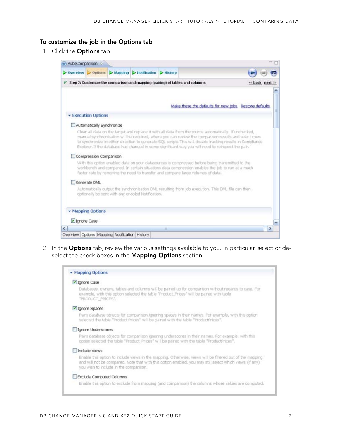#### **To customize the job in the Options tab**

1 Click the **Options** tab.



2 In the **Options** tab, review the various settings available to you. In particular, select or deselect the check boxes in the **Mapping Options** section.

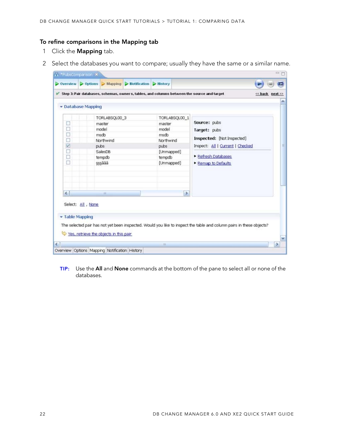### **To refine comparisons in the Mapping tab**

- 1 Click the **Mapping** tab.
- 2 Select the databases you want to compare; usually they have the same or a similar name.

| Step 3: Pair databases, schemas, owners, tables, and columns between the source and target<br>· Database Mapping<br>TORLABSQL00_3<br>TORLABSCL00_1<br>Source: pubs<br>master<br>master<br>model<br>model<br>Target: pubs<br>□<br>msdb<br>msdb<br>Inspected: [Not Inspected]<br>Ò<br>Northwind<br>Northwind<br>☑<br>Inspect: All   Current   Checked<br>pubs<br>pubs<br>O<br>SalesDB<br>[Unmapped]<br>Refresh Databases<br>□<br>tempdo<br>tempdo<br>ō<br>sssäää<br>[Unmapped]<br>Remap to Defaults<br>$\left  \mathbf{z} \right $<br>$\rightarrow$<br>m.<br>Select: All , None |  | $\triangleright$ Overview $\triangleright$ Options $\triangleright$ Mapping $\triangleright$ Hotification $\triangleright$ History |  |                 |
|-------------------------------------------------------------------------------------------------------------------------------------------------------------------------------------------------------------------------------------------------------------------------------------------------------------------------------------------------------------------------------------------------------------------------------------------------------------------------------------------------------------------------------------------------------------------------------|--|------------------------------------------------------------------------------------------------------------------------------------|--|-----------------|
|                                                                                                                                                                                                                                                                                                                                                                                                                                                                                                                                                                               |  |                                                                                                                                    |  | << back next >> |
|                                                                                                                                                                                                                                                                                                                                                                                                                                                                                                                                                                               |  |                                                                                                                                    |  |                 |
|                                                                                                                                                                                                                                                                                                                                                                                                                                                                                                                                                                               |  |                                                                                                                                    |  |                 |
|                                                                                                                                                                                                                                                                                                                                                                                                                                                                                                                                                                               |  |                                                                                                                                    |  |                 |
|                                                                                                                                                                                                                                                                                                                                                                                                                                                                                                                                                                               |  |                                                                                                                                    |  |                 |
|                                                                                                                                                                                                                                                                                                                                                                                                                                                                                                                                                                               |  |                                                                                                                                    |  |                 |
|                                                                                                                                                                                                                                                                                                                                                                                                                                                                                                                                                                               |  |                                                                                                                                    |  |                 |
|                                                                                                                                                                                                                                                                                                                                                                                                                                                                                                                                                                               |  |                                                                                                                                    |  |                 |
|                                                                                                                                                                                                                                                                                                                                                                                                                                                                                                                                                                               |  |                                                                                                                                    |  |                 |
|                                                                                                                                                                                                                                                                                                                                                                                                                                                                                                                                                                               |  |                                                                                                                                    |  |                 |
|                                                                                                                                                                                                                                                                                                                                                                                                                                                                                                                                                                               |  |                                                                                                                                    |  |                 |
|                                                                                                                                                                                                                                                                                                                                                                                                                                                                                                                                                                               |  |                                                                                                                                    |  |                 |
|                                                                                                                                                                                                                                                                                                                                                                                                                                                                                                                                                                               |  |                                                                                                                                    |  |                 |
|                                                                                                                                                                                                                                                                                                                                                                                                                                                                                                                                                                               |  |                                                                                                                                    |  |                 |
|                                                                                                                                                                                                                                                                                                                                                                                                                                                                                                                                                                               |  |                                                                                                                                    |  |                 |
| • Table Mapping                                                                                                                                                                                                                                                                                                                                                                                                                                                                                                                                                               |  |                                                                                                                                    |  |                 |
| The selected pair has not yet been inspected. Would you like to inspect the table and column pairs in these objects?                                                                                                                                                                                                                                                                                                                                                                                                                                                          |  |                                                                                                                                    |  |                 |
| Yes, retrieve the objects in this pair                                                                                                                                                                                                                                                                                                                                                                                                                                                                                                                                        |  |                                                                                                                                    |  |                 |

**TIP:** Use the **All** and **None** commands at the bottom of the pane to select all or none of the databases.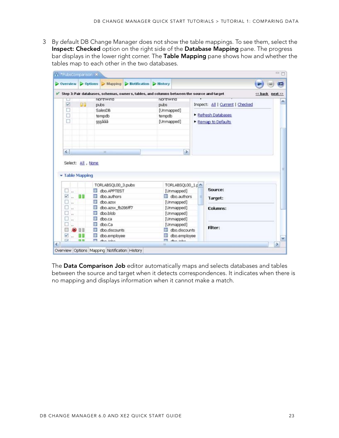3 By default DB Change Manager does not show the table mappings. To see them, select the **Inspect: Checked** option on the right side of the **Database Mapping** pane. The progress bar displays in the lower right corner. The **Table Mapping** pane shows how and whether the tables map to each other in the two databases.

|                           |                   |         |                               | $\triangleright$ Overview $\triangleright$ Options $\triangleright$ Mapping $\triangleright$ Hotification $\triangleright$ History |                   |                               |                                  |                 |
|---------------------------|-------------------|---------|-------------------------------|------------------------------------------------------------------------------------------------------------------------------------|-------------------|-------------------------------|----------------------------------|-----------------|
|                           |                   |         |                               | Step 3: Pair databases, schemas, owners, tables, and columns between the source and target                                         |                   |                               |                                  | << back next >> |
|                           |                   |         | <b>NOT thiwing</b>            |                                                                                                                                    | <b>NOTITIWING</b> |                               |                                  |                 |
| ☑                         | 99                | pubs    |                               |                                                                                                                                    | pubs:             |                               | Inspect: All   Current   Checked |                 |
| □                         |                   | SalesDB |                               |                                                                                                                                    |                   | [Unmapped]                    |                                  |                 |
| o                         |                   | tempdo  |                               |                                                                                                                                    | tempdb            |                               | Refresh Databases                |                 |
| ō                         |                   | sssäää  |                               |                                                                                                                                    |                   | [Unmapped]                    | Remap to Defaults                |                 |
|                           |                   |         |                               |                                                                                                                                    |                   |                               |                                  |                 |
| $\epsilon$                | Select: All, None | im.     |                               |                                                                                                                                    |                   | $\rightarrow$                 |                                  |                 |
| • Table Mapping           |                   |         | TORLABSQL00_3.pubs            |                                                                                                                                    |                   | TORLABSQL00_1.pm              |                                  |                 |
| o<br>h.                   |                   |         | dbo.APPTEST                   |                                                                                                                                    |                   | [Unmapped]                    | Source:                          |                 |
| ₩<br>w                    |                   |         | dbo.authors                   |                                                                                                                                    |                   | dbo.authors                   | Target:                          |                 |
| □<br>la c                 |                   | 9 H     | dbo.azsx                      |                                                                                                                                    |                   | [Unmapped]                    |                                  |                 |
| □<br>$\mathbf{r}$         |                   | Œ       | dbo.azsx fb286ff7             |                                                                                                                                    |                   | [Unmapped]                    | <b>Columns:</b>                  |                 |
| in 1                      |                   |         | dbo.blob                      |                                                                                                                                    |                   | [Unmapped]                    |                                  |                 |
| Ω<br>$\ddot{\phantom{a}}$ |                   | 注目      | dbo.ca                        |                                                                                                                                    |                   | [Unmapped]                    |                                  |                 |
| o<br>h.                   |                   | Œ       | dbo.Ca                        |                                                                                                                                    |                   | [Unmapped]                    | <b>Filter:</b>                   |                 |
| ⊟<br>V                    | 99                | ш       | dbo.discounts<br>dbo.employee |                                                                                                                                    |                   | dbo.discounts<br>dbo.employee |                                  |                 |

The **Data Comparison Job** editor automatically maps and selects databases and tables between the source and target when it detects correspondences. It indicates when there is no mapping and displays information when it cannot make a match.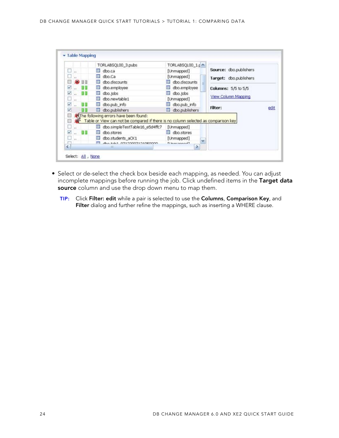|        |           |    | TORLABSQL00_3.pubs                                                                                                            | TORLABSQL00_1.p ^   |                      |                        |      |
|--------|-----------|----|-------------------------------------------------------------------------------------------------------------------------------|---------------------|----------------------|------------------------|------|
| $\Box$ |           | 理报 | dbo.ca                                                                                                                        | [Unmapped]          |                      | Source: dbo.publishers |      |
| u.     |           | ŒB | dbo.Ca                                                                                                                        | [Unmapped]          |                      | Target: dbo.publishers |      |
|        | 日日        |    | dbo.discounts                                                                                                                 | dbo.discounts       |                      |                        |      |
| ☑      | <b>BB</b> | 田  | dbo.employee                                                                                                                  | dbo.employee        |                      | Columns: 5/5 to 5/5    |      |
| ₩.,    | 百日        | œ  | dbo.jobs                                                                                                                      | III dbo.jobs        |                      |                        |      |
| o      |           | 田  | dbo.newtable1                                                                                                                 | [Unmapped]          |                      | View Column Mapping    |      |
| ⊽      |           | 江野 | doo.pub_info                                                                                                                  | dbo.pub_info<br>Ш   |                      |                        |      |
| ☑      |           |    | dbo.publishers                                                                                                                | dbo.publishers      |                      | <b>Filter:</b>         | edit |
| o<br>同 |           |    | . The following errors have been found:<br>Table or View can not be compared if there is no column selected as comparison key |                     |                      |                        |      |
| u      |           |    | dbo.simpleTestTable16_e5d4ffc7                                                                                                | [Unmapped]          |                      |                        |      |
| ☑      | - 88      | 注目 | dbo.stores                                                                                                                    | III dbo.stores      |                      |                        |      |
| $\Box$ |           | Œ  | dbo.students_aCK1                                                                                                             | [Unmapped]          | $\ddot{\phantom{1}}$ |                        |      |
| ā      |           |    | des taks officeronations                                                                                                      | El housemand 1<br>× |                      |                        |      |

- Select or de-select the check box beside each mapping, as needed. You can adjust incomplete mappings before running the job. Click undefined items in the **Target data source** column and use the drop down menu to map them.
	- **TIP:** Click **Filter: edit** while a pair is selected to use the **Columns**, **Comparison Key**, and **Filter** dialog and further refine the mappings, such as inserting a WHERE clause.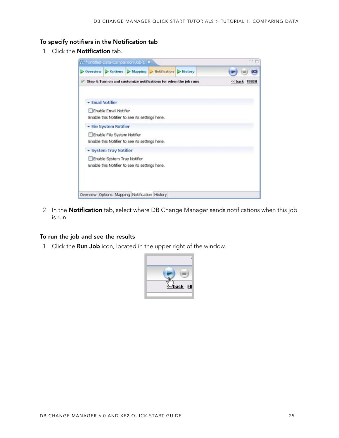### **To specify notifiers in the Notification tab**

1 Click the **Notification** tab.

| 11 *Untitled-Data-Comparison-Job-1 X          |                             |                                                |                                                                                                           |         | $=$            |
|-----------------------------------------------|-----------------------------|------------------------------------------------|-----------------------------------------------------------------------------------------------------------|---------|----------------|
|                                               |                             |                                                | $\triangleright$ Overview $\triangleright$ Options $\triangleright$ Mapping $\triangleright$ Hotification | History |                |
|                                               |                             |                                                | Step & Turn on and customize notifications for when the job runs                                          |         | << back FIIISH |
|                                               |                             |                                                |                                                                                                           |         |                |
| <b>- Email Notifier</b>                       |                             |                                                |                                                                                                           |         |                |
|                                               | Frable Email Notifier       |                                                |                                                                                                           |         |                |
|                                               |                             | Enable this Notifier to see its settings here. |                                                                                                           |         |                |
|                                               | - File System Notifier      |                                                |                                                                                                           |         |                |
|                                               | Enable File System Notifier |                                                |                                                                                                           |         |                |
|                                               |                             | Enable this Notifier to see its settings here. |                                                                                                           |         |                |
|                                               | System Tray Notifier        |                                                |                                                                                                           |         |                |
|                                               | Enable System Tray Notifier |                                                |                                                                                                           |         |                |
|                                               |                             | Enable this Notifier to see its settings here. |                                                                                                           |         |                |
|                                               |                             |                                                |                                                                                                           |         |                |
|                                               |                             |                                                |                                                                                                           |         |                |
|                                               |                             |                                                |                                                                                                           |         |                |
| Overview Options Mapping Notification History |                             |                                                |                                                                                                           |         |                |
|                                               |                             |                                                |                                                                                                           |         |                |

2 In the **Notification** tab, select where DB Change Manager sends notifications when this job is run.

#### **To run the job and see the results**

1 Click the **Run Job** icon, located in the upper right of the window.

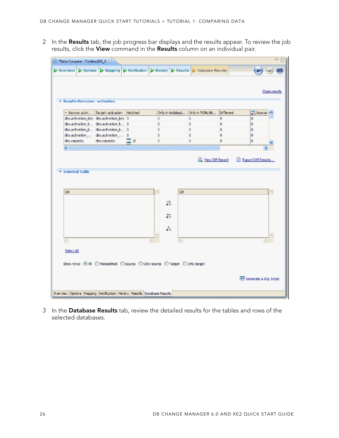2 In the **Results** tab, the job progress bar displays and the results appear. To review the job results, click the **View** command in the **Results** column on an individual pair.

|                             | * Results Overview - activation<br>- Source: activ Target: activation | Matched           |         | Only in torlabsgl | Only in TORLAB   | Different | Close results<br><b>Source</b> t |
|-----------------------------|-----------------------------------------------------------------------|-------------------|---------|-------------------|------------------|-----------|----------------------------------|
|                             | dbo.activation_key dbo.activation_key 0                               |                   | 0       |                   | 0                | $\bf{0}$  | 0                                |
|                             | dbo.activation k dbo.activation k 0                                   |                   | ٥       |                   | ٥                | ٥         | ٥                                |
|                             | dbo.activation_k dbo.activation_k 0                                   |                   | 0       |                   | o                | o         | 0                                |
|                             | dbo.activation  dbo.activation  D                                     |                   | ٥       |                   | ٥                | o         | ō                                |
| dbo.capacity                | dbo.capadty                                                           | $\frac{1}{10}$ 18 | 0       |                   | 0                | 0         | 0                                |
|                             |                                                                       |                   |         |                   |                  |           |                                  |
| ⋖⋕<br>Selected Table<br>0/0 |                                                                       | $\mathbf{H}$      |         | 0/0               | View Diff Report |           | Export Diff Results              |
|                             |                                                                       |                   | ವೆ<br>詣 |                   |                  |           |                                  |
|                             |                                                                       |                   | ã.      |                   |                  |           |                                  |

3 In the **Database Results** tab, review the detailed results for the tables and rows of the selected databases.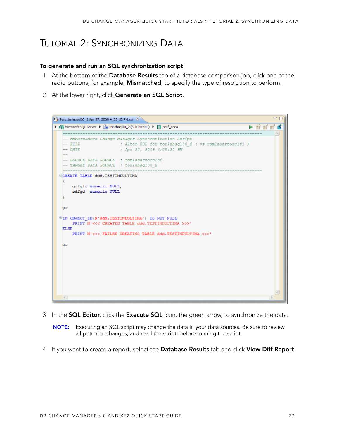## <span id="page-28-0"></span>TUTORIAL 2: SYNCHRONIZING DATA

#### **To generate and run an SQL synchronization script**

- 1 At the bottom of the **Database Results** tab of a database comparison job, click one of the radio buttons, for example, **Mismatched**, to specify the type of resolution to perform.
- 2 At the lower right, click **Generate an SQL Script**.



- 3 In the **SQL Editor**, click the **Execute SQL** icon, the green arrow, to synchronize the data.
	- **NOTE:** Executing an SQL script may change the data in your data sources. Be sure to review all potential changes, and read the script, before running the script.
- 4 If you want to create a report, select the **Database Results** tab and click **View Diff Report**.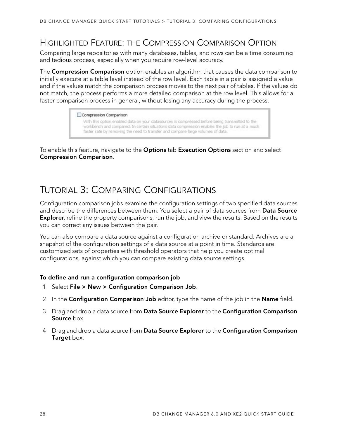### <span id="page-29-0"></span>HIGHLIGHTED FEATURE: THE COMPRESSION COMPARISON OPTION

Comparing large repositories with many databases, tables, and rows can be a time consuming and tedious process, especially when you require row-level accuracy.

The **Compression Comparison** option enables an algorithm that causes the data comparison to initially execute at a table level instead of the row level. Each table in a pair is assigned a value and if the values match the comparison process moves to the next pair of tables. If the values do not match, the process performs a more detailed comparison at the row level. This allows for a faster comparison process in general, without losing any accuracy during the process.

#### Compression Comparison

With this option enabled data on your datasources is compressed before being transmitted to the workbench and compared. In certain situations data compression enables the job to run at a much faster rate by removing the need to transfer and compare large volumes of data.

To enable this feature, navigate to the **Options** tab **Execution Options** section and select **Compression Comparison**.

## <span id="page-29-1"></span>TUTORIAL 3: COMPARING CONFIGURATIONS

Configuration comparison jobs examine the configuration settings of two specified data sources and describe the differences between them. You select a pair of data sources from **Data Source Explorer**, refine the property comparisons, run the job, and view the results. Based on the results you can correct any issues between the pair.

You can also compare a data source against a configuration archive or standard. Archives are a snapshot of the configuration settings of a data source at a point in time. Standards are customized sets of properties with threshold operators that help you create optimal configurations, against which you can compare existing data source settings.

#### **To define and run a configuration comparison job**

- 1 Select **File > New > Configuration Comparison Job**.
- 2 In the **Configuration Comparison Job** editor, type the name of the job in the **Name** field.
- 3 Drag and drop a data source from **Data Source Explorer** to the **Configuration Comparison Source** box.
- 4 Drag and drop a data source from **Data Source Explorer** to the **Configuration Comparison Target** box.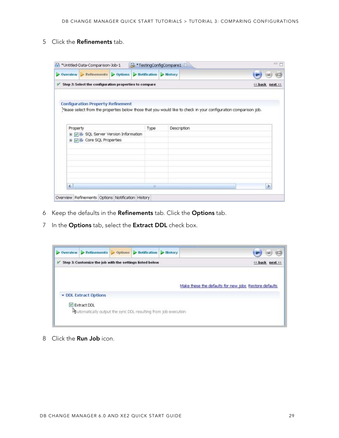5 Click the **Refinements** tab.

|          | $\triangleright$ Overview $\triangleright$ Refinements $\triangleright$ Options $\triangleright$ Hotification $\triangleright$ History |      |                                                                                                                   |                 |
|----------|----------------------------------------------------------------------------------------------------------------------------------------|------|-------------------------------------------------------------------------------------------------------------------|-----------------|
|          |                                                                                                                                        |      |                                                                                                                   |                 |
|          | Step 2: Select the configuration properties to compare                                                                                 |      |                                                                                                                   | << back next >> |
|          | <b>Configuration Property Refinement</b>                                                                                               |      | . Jease select from the properties below those that you would like to check in your configuration comparison job. |                 |
| Property |                                                                                                                                        | Type | <b>Description</b>                                                                                                |                 |
|          | 田 D B SQL Server Version Information                                                                                                   |      |                                                                                                                   |                 |
|          | E V & Core SQL Properties                                                                                                              |      |                                                                                                                   |                 |
|          |                                                                                                                                        |      |                                                                                                                   |                 |
|          |                                                                                                                                        |      |                                                                                                                   |                 |
|          |                                                                                                                                        |      |                                                                                                                   |                 |

- 6 Keep the defaults in the **Refinements** tab. Click the **Options** tab.
- 7 In the **Options** tab, select the **Extract DDL** check box.



8 Click the **Run Job** icon.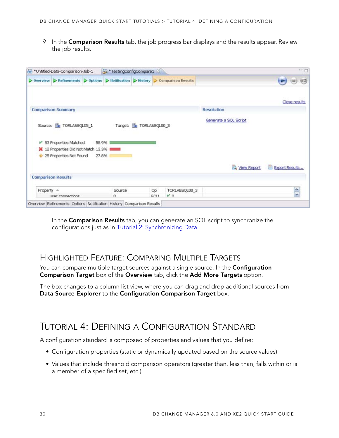9 In the **Comparison Results** tab, the job progress bar displays and the results appear. Review the job results.

|            | fin *Untitled-Data-Comparison-Job-1 |       | <sup>3</sup> TestingConfigCompare1 |                       |                                                                                                                                                                            |                       | $=$ $-$        |
|------------|-------------------------------------|-------|------------------------------------|-----------------------|----------------------------------------------------------------------------------------------------------------------------------------------------------------------------|-----------------------|----------------|
|            |                                     |       |                                    |                       | $\triangleright$ Overview $\triangleright$ Refinements $\triangleright$ Options $\triangleright$ Hotification $\triangleright$ History $\triangleright$ Comparison Results |                       | (2.3)          |
|            |                                     |       |                                    |                       |                                                                                                                                                                            |                       | Close results  |
|            | <b>Comparison Summary</b>           |       |                                    |                       |                                                                                                                                                                            | <b>Resolution</b>     |                |
|            |                                     |       |                                    |                       |                                                                                                                                                                            | Generate a SQL Script |                |
|            |                                     |       |                                    |                       |                                                                                                                                                                            |                       |                |
|            | Source: ForLABSQL05_1               |       |                                    | Target: TORLABSQL00_3 |                                                                                                                                                                            |                       |                |
|            | 53 Properties Matched               | 58.9% |                                    |                       |                                                                                                                                                                            |                       |                |
|            | 12 Properties Did Not Match 13.3% I |       |                                    |                       |                                                                                                                                                                            |                       |                |
|            | 25 Properties Not Found             | 27.8% |                                    |                       |                                                                                                                                                                            |                       |                |
|            |                                     |       |                                    |                       |                                                                                                                                                                            | View Report           | Export Results |
|            | <b>Comparison Results</b>           |       |                                    |                       |                                                                                                                                                                            |                       |                |
| Property = |                                     |       | Source                             |                       | TORLABSQL00_3<br>Op                                                                                                                                                        |                       | ô<br>M         |

In the **Comparison Results** tab, you can generate an SQL script to synchronize the configurations just as in [Tutorial 2: Synchronizing Data](#page-28-0).

### <span id="page-31-0"></span>HIGHLIGHTED FEATURE: COMPARING MULTIPLE TARGETS

You can compare multiple target sources against a single source. In the **Configuration Comparison Target** box of the **Overview** tab, click the **Add More Targets** option.

The box changes to a column list view, where you can drag and drop additional sources from **Data Source Explorer** to the **Configuration Comparison Target** box.

## <span id="page-31-1"></span>TUTORIAL 4: DEFINING A CONFIGURATION STANDARD

A configuration standard is composed of properties and values that you define:

- Configuration properties (static or dynamically updated based on the source values)
- Values that include threshold comparison operators (greater than, less than, falls within or is a member of a specified set, etc.)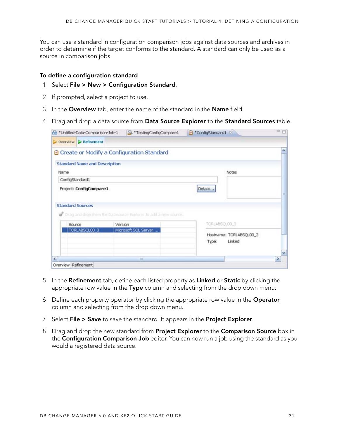You can use a standard in configuration comparison jobs against data sources and archives in order to determine if the target conforms to the standard. A standard can only be used as a source in comparison jobs.

#### **To define a configuration standard**

- 1 Select **File > New > Configuration Standard**.
- 2 If prompted, select a project to use.
- 3 In the **Overview** tab, enter the name of the standard in the **Name** field.
- 4 Drag and drop a data source from **Data Source Explorer** to the **Standard Sources** table.

|                                                       | the *Untitled-Data-Comparison-Job-1<br><sup>3</sup> TestingConfigCompare1 | ConfigStandard1 83      | $=$ $-$ |
|-------------------------------------------------------|---------------------------------------------------------------------------|-------------------------|---------|
| $\triangleright$ Overview $\triangleright$ Refinement |                                                                           |                         |         |
| Create or Modify a Configuration Standard             |                                                                           |                         |         |
| <b>Standard Name and Description</b>                  |                                                                           |                         |         |
| Name                                                  |                                                                           | <b>Notes</b>            |         |
| ConfigStandard1                                       |                                                                           |                         |         |
|                                                       |                                                                           | Details                 |         |
|                                                       |                                                                           |                         |         |
| Project: ConfigCompare1                               |                                                                           |                         |         |
|                                                       |                                                                           |                         |         |
|                                                       |                                                                           |                         |         |
|                                                       | Torag and drop from the Datasource Explorer to add a new source.          |                         |         |
| Source                                                | Version                                                                   | TORLABSQLOD 3           |         |
| TORLABSQL00_3                                         | Microsoft SQL Server                                                      |                         |         |
|                                                       |                                                                           | Hostname: TORLABSQL00_3 |         |
|                                                       |                                                                           | Linked<br>Type:         |         |
| <b>Standard Sources</b>                               |                                                                           |                         |         |

- 5 In the **Refinement** tab, define each listed property as **Linked** or **Static** by clicking the appropriate row value in the **Type** column and selecting from the drop down menu.
- 6 Define each property operator by clicking the appropriate row value in the **Operator** column and selecting from the drop down menu.
- 7 Select **File > Save** to save the standard. It appears in the **Project Explorer**.
- 8 Drag and drop the new standard from **Project Explorer** to the **Comparison Source** box in the **Configuration Comparison Job** editor. You can now run a job using the standard as you would a registered data source.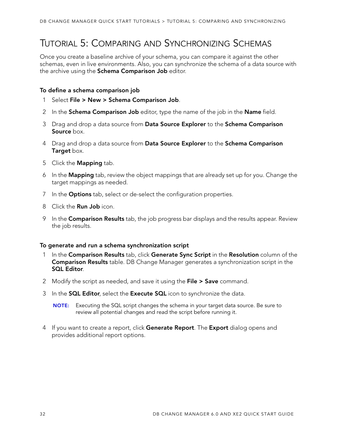## <span id="page-33-0"></span>TUTORIAL 5: COMPARING AND SYNCHRONIZING SCHEMAS

Once you create a baseline archive of your schema, you can compare it against the other schemas, even in live environments. Also, you can synchronize the schema of a data source with the archive using the **Schema Comparison Job** editor.

#### **To define a schema comparison job**

- 1 Select **File > New > Schema Comparison Job**.
- 2 In the **Schema Comparison Job** editor, type the name of the job in the **Name** field.
- 3 Drag and drop a data source from **Data Source Explorer** to the **Schema Comparison Source** box.
- 4 Drag and drop a data source from **Data Source Explorer** to the **Schema Comparison Target** box.
- 5 Click the **Mapping** tab.
- 6 In the **Mapping** tab, review the object mappings that are already set up for you. Change the target mappings as needed.
- 7 In the **Options** tab, select or de-select the configuration properties.
- 8 Click the **Run Job** icon.
- 9 In the **Comparison Results** tab, the job progress bar displays and the results appear. Review the job results.

#### **To generate and run a schema synchronization script**

- 1 In the **Comparison Results** tab, click **Generate Sync Script** in the **Resolution** column of the **Comparison Results** table. DB Change Manager generates a synchronization script in the **SQL Editor**.
- 2 Modify the script as needed, and save it using the **File > Save** command.
- 3 In the **SQL Editor**, select the **Execute SQL** icon to synchronize the data.

**NOTE:** Executing the SQL script changes the schema in your target data source. Be sure to review all potential changes and read the script before running it.

4 If you want to create a report, click **Generate Report**. The **Export** dialog opens and provides additional report options.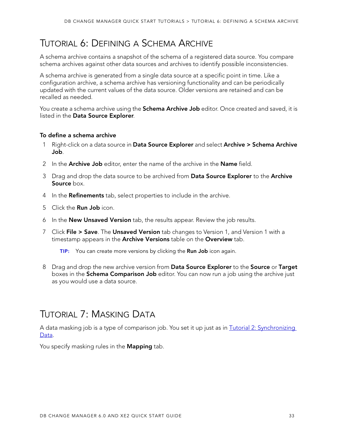## <span id="page-34-0"></span>TUTORIAL 6: DEFINING A SCHEMA ARCHIVE

A schema archive contains a snapshot of the schema of a registered data source. You compare schema archives against other data sources and archives to identify possible inconsistencies.

A schema archive is generated from a single data source at a specific point in time. Like a configuration archive, a schema archive has versioning functionality and can be periodically updated with the current values of the data source. Older versions are retained and can be recalled as needed.

You create a schema archive using the **Schema Archive Job** editor. Once created and saved, it is listed in the **Data Source Explorer**.

#### **To define a schema archive**

- 1 Right-click on a data source in **Data Source Explorer** and select **Archive > Schema Archive Job**.
- 2 In the **Archive Job** editor, enter the name of the archive in the **Name** field.
- 3 Drag and drop the data source to be archived from **Data Source Explorer** to the **Archive Source** box.
- 4 In the **Refinements** tab, select properties to include in the archive.
- 5 Click the **Run Job** icon.
- 6 In the **New Unsaved Version** tab, the results appear. Review the job results.
- 7 Click **File > Save**. The **Unsaved Version** tab changes to Version 1, and Version 1 with a timestamp appears in the **Archive Versions** table on the **Overview** tab.

**TIP:** You can create more versions by clicking the **Run Job** icon again.

8 Drag and drop the new archive version from **Data Source Explorer** to the **Source** or **Target** boxes in the **Schema Comparison Job** editor. You can now run a job using the archive just as you would use a data source.

## <span id="page-34-1"></span>TUTORIAL 7: MASKING DATA

A data masking job is a type of comparison job. You set it up just as in **Tutorial 2: Synchronizing** [Data](#page-28-0).

You specify masking rules in the **Mapping** tab.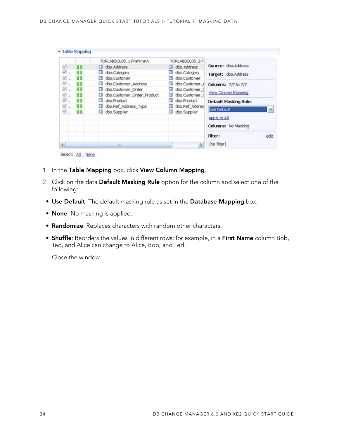| $\leq$ |     | m                               |                     | Filter:<br>edit<br>[no filter]<br>$\rightarrow$ |
|--------|-----|---------------------------------|---------------------|-------------------------------------------------|
|        |     |                                 |                     | Columns: No Masking                             |
| Ø      | 建設  | dbo.Supplier                    | dbo.Supplier<br>Ш   | Apply to All                                    |
| ⊽      |     | dbo.Ref_Address_Type<br>H.      | dbo.Ref_Addres      | Use Default<br>×                                |
| ☑      | 88  | dbo.Product<br>m                | Ш<br>dbo.Product    | Default Masking Rule:                           |
| V      | 8 B | dbo.Customer_Order_Product<br>ш | dbo.Customer_0<br>Ш | View Column Mapping                             |
| Ø      | 88  | dbo.Customer_Order<br>围         | dbo.Customer (<br>Ш |                                                 |
| ⊽      |     | dbo.Customer_Address<br>33      | dbo.Customer_/<br>Ш | Columns: 7/7 to 7/7                             |
| Ø      | 6 B | dbo.Customer<br>3B              | dbo.Customer        |                                                 |
| V      | a a | dbo.Category<br>围               | dbo.Category        | Target: dbo.Address                             |
| Ø      | 8 T | U dbo.Address                   | dbo.Address<br>Ш    | Source: dbo.Address                             |
|        |     | TORLABSQL05_1.FranklynA         | TORLABSOL05_2.F     |                                                 |

- 1 In the **Table Mapping** box, click **View Column Mapping**.
- 2 Click on the data **Default Masking Rule** option for the column and select one of the following:
- **Use Default**: The default masking rule as set in the **Database Mapping** box.
- **None**: No masking is applied.
- **Randomize**: Replaces characters with random other characters.
- **Shuffle**: Reorders the values in different rows; for example, in a **First Name** column Bob, Ted, and Alice can change to Alice, Bob, and Ted.

Close the window.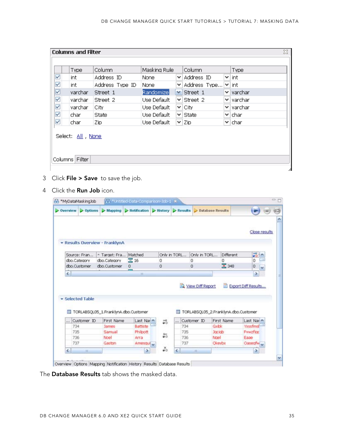| <b>Columns and Filter</b>            |                 |              |   |                                | x                               |
|--------------------------------------|-----------------|--------------|---|--------------------------------|---------------------------------|
|                                      |                 |              |   |                                |                                 |
| Type                                 | Column.         | Masking Rule |   | Column                         | Type                            |
| $\checkmark$<br>int                  | Address ID      | None.        |   | $\vee$ Address ID              | ×lint                           |
| $\checkmark$<br>int                  | Address Type ID | None         |   | $\vee$ Address Type $\vee$ int |                                 |
| $\overline{\mathbf{S}}$<br>varchar   | Street 1        | Randomize    |   | $\vee$ Street 1                | $\blacktriangleright$   varchar |
| $\checkmark$<br>varchar              | Street 2        | Use Default. |   | $\vee$ Street 2                | M∣varchar                       |
| $\checkmark$<br>varchar              | City.           | Use Default  | M | lCity.                         | M∥varchar                       |
| $\checkmark$<br>char.                | State           | Use Default. |   | ×lState                        | M∣char                          |
| $\checkmark$<br>char                 | Zip             | Use Default  |   | $\vee$ Zip                     | $\blacktriangleright$ [char     |
| Select: All , None<br>Columns Filter |                 |              |   |                                |                                 |

- 3 Click **File > Save** to save the job.
- 4 Click the **Run Job** icon.

| $\triangleright$ Overview | $\triangleright$ Options | $>$ Mapping                                        | Ilotification   History     |                | $\triangleright$ Results | Database Results |                                                    |                                                                  |
|---------------------------|--------------------------|----------------------------------------------------|-----------------------------|----------------|--------------------------|------------------|----------------------------------------------------|------------------------------------------------------------------|
|                           |                          | - Results Overview - FranklynA                     |                             |                |                          |                  |                                                    | Close results                                                    |
|                           | Source: Fran             | - Target: Fra                                      | Matched                     |                | Only in TORL             | Only in TORL     | <b>Different</b>                                   | 56 A                                                             |
|                           | dbo.Category             | dbo.Category                                       | $\Xi$ 16                    | 0              |                          | Ö                | ο                                                  | Ō                                                                |
|                           |                          |                                                    |                             |                |                          | 0                | 区 348                                              | 0                                                                |
|                           | dbo.Customer             | dbo.Customer                                       | 0                           | o              |                          |                  |                                                    |                                                                  |
| $\epsilon$                |                          |                                                    | m                           |                |                          | View Diff Report |                                                    | $\overline{\phantom{a}}$<br>$\rightarrow$<br>Export Diff Results |
|                           | · Selected Table         |                                                    |                             |                |                          |                  |                                                    |                                                                  |
| Œ                         | Customer ID              | TORLABSQL05_1.FranklynA.dbo.Customer<br>First Name |                             |                | Ш                        |                  | TORLABSQL05_2.FranklynA.dbo.Customer<br>First Name |                                                                  |
| $\cdots$                  | 734                      | <b>James</b>                                       | Last Nar<br><b>Battiste</b> | 56             | Customer ID<br>734       |                  | Gxibic                                             | Last Nar<br><b>Yxssfmst</b>                                      |
|                           | 735                      | Samual                                             | Philpott                    |                | 735                      |                  | Jackso                                             | <b>Fywzfiac</b>                                                  |
|                           | 736                      | Noel                                               | Arra                        | $\frac{4}{90}$ | 736                      |                  | Nael                                               | Eaae                                                             |
|                           | 737                      | Gaston                                             | Amesquit <sub>v</sub>       | స              | 737                      |                  | Okeybx                                             | Oasegfw ~                                                        |

The **Database Results** tab shows the masked data.